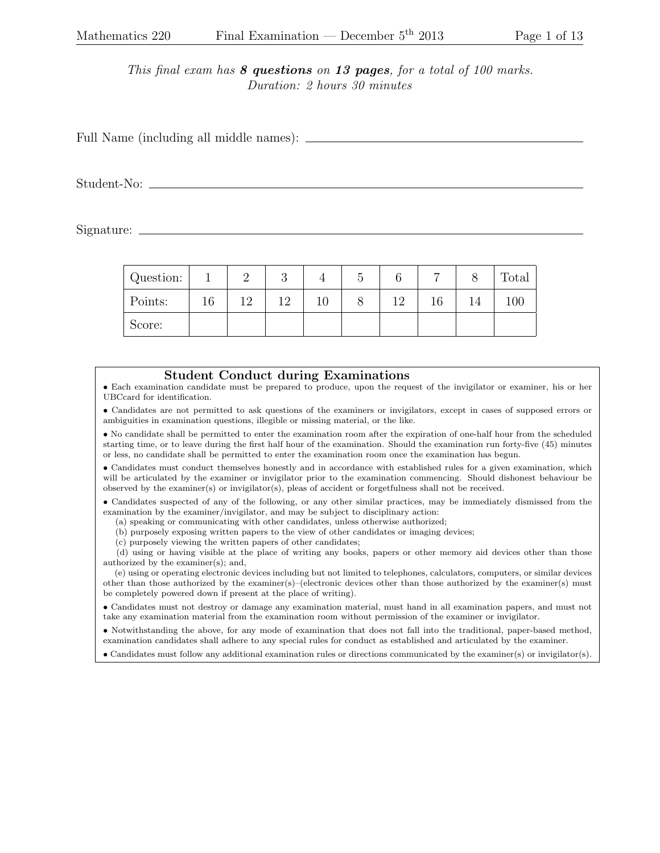This final exam has  $8$  questions on 13 pages, for a total of 100 marks. Duration: 2 hours 30 minutes

Full Name (including all middle names):  $\frac{1}{\sqrt{1-\frac{1}{\sqrt{1-\frac{1}{\sqrt{1-\frac{1}{\sqrt{1-\frac{1}{\sqrt{1-\frac{1}{\sqrt{1-\frac{1}{\sqrt{1-\frac{1}{\sqrt{1-\frac{1}{\sqrt{1-\frac{1}{\sqrt{1-\frac{1}{\sqrt{1-\frac{1}{\sqrt{1-\frac{1}{\sqrt{1-\frac{1}{\sqrt{1-\frac{1}{\sqrt{1-\frac{1}{\sqrt{1-\frac{1}{\sqrt{1-\frac{1}{\sqrt{1-\frac{1}{\sqrt{1-\frac{1}{\sqrt{1-\$ 

Student-No:

Signature:

| Question: |    |     | U  |    |  | –               |    | Total |
|-----------|----|-----|----|----|--|-----------------|----|-------|
| Points:   | 16 | 1 ດ | 12 | ΤÛ |  | $1 \mathcal{L}$ | 14 | 100   |
| Score:    |    |     |    |    |  |                 |    |       |

## Student Conduct during Examinations

• Each examination candidate must be prepared to produce, upon the request of the invigilator or examiner, his or her UBCcard for identification.

• Candidates are not permitted to ask questions of the examiners or invigilators, except in cases of supposed errors or ambiguities in examination questions, illegible or missing material, or the like.

• No candidate shall be permitted to enter the examination room after the expiration of one-half hour from the scheduled starting time, or to leave during the first half hour of the examination. Should the examination run forty-five (45) minutes or less, no candidate shall be permitted to enter the examination room once the examination has begun.

• Candidates must conduct themselves honestly and in accordance with established rules for a given examination, which will be articulated by the examiner or invigilator prior to the examination commencing. Should dishonest behaviour be observed by the examiner(s) or invigilator(s), pleas of accident or forgetfulness shall not be received.

• Candidates suspected of any of the following, or any other similar practices, may be immediately dismissed from the examination by the examiner/invigilator, and may be subject to disciplinary action:

(a) speaking or communicating with other candidates, unless otherwise authorized;

(b) purposely exposing written papers to the view of other candidates or imaging devices;

(c) purposely viewing the written papers of other candidates;

(d) using or having visible at the place of writing any books, papers or other memory aid devices other than those authorized by the examiner(s); and,

(e) using or operating electronic devices including but not limited to telephones, calculators, computers, or similar devices other than those authorized by the examiner(s)–(electronic devices other than those authorized by the examiner(s) must be completely powered down if present at the place of writing).

• Candidates must not destroy or damage any examination material, must hand in all examination papers, and must not take any examination material from the examination room without permission of the examiner or invigilator.

• Notwithstanding the above, for any mode of examination that does not fall into the traditional, paper-based method, examination candidates shall adhere to any special rules for conduct as established and articulated by the examiner.

• Candidates must follow any additional examination rules or directions communicated by the examiner(s) or invigilator(s).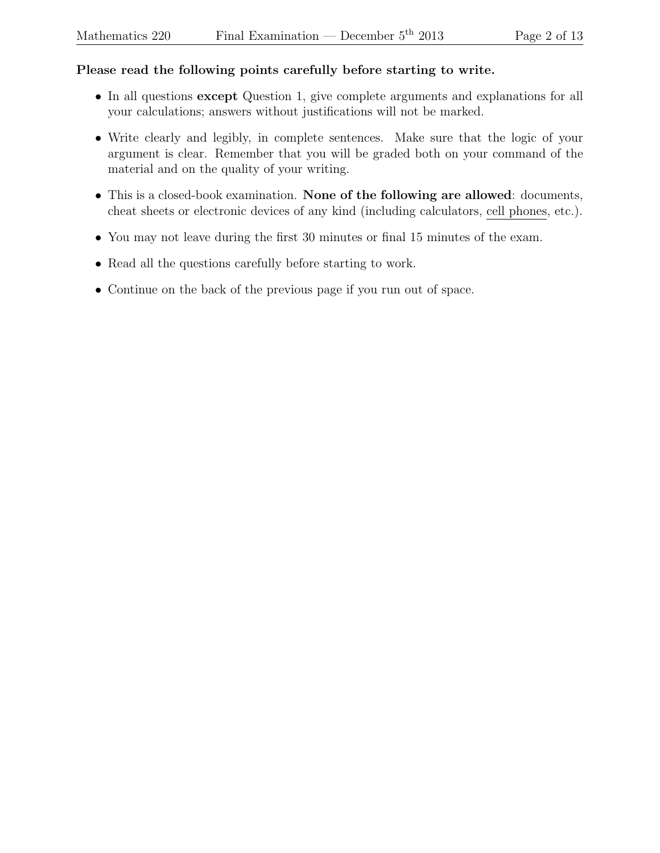## Please read the following points carefully before starting to write.

- In all questions except Question 1, give complete arguments and explanations for all your calculations; answers without justifications will not be marked.
- Write clearly and legibly, in complete sentences. Make sure that the logic of your argument is clear. Remember that you will be graded both on your command of the material and on the quality of your writing.
- This is a closed-book examination. None of the following are allowed: documents, cheat sheets or electronic devices of any kind (including calculators, cell phones, etc.).
- You may not leave during the first 30 minutes or final 15 minutes of the exam.
- Read all the questions carefully before starting to work.
- Continue on the back of the previous page if you run out of space.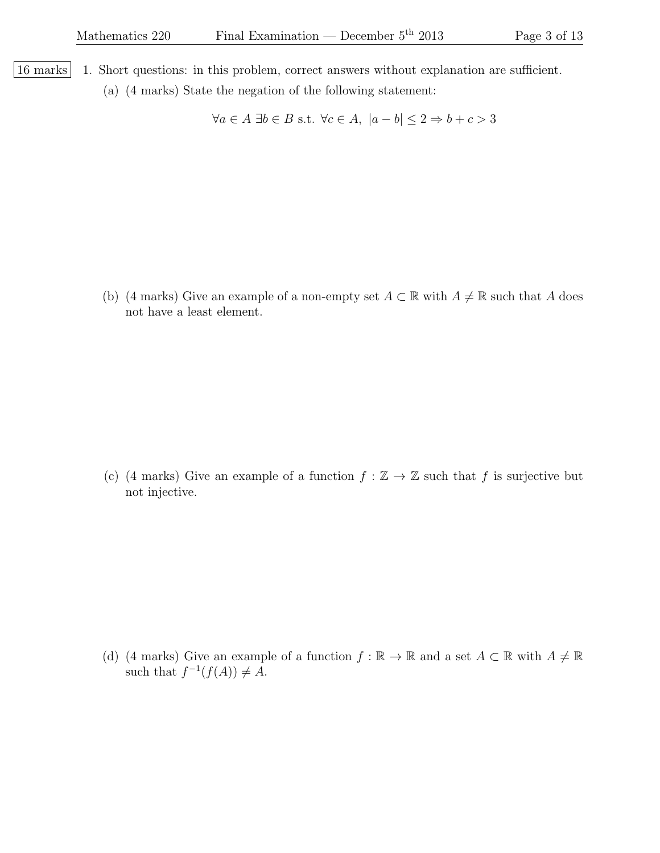- 16 marks 1. Short questions: in this problem, correct answers without explanation are sufficient.
	- (a) (4 marks) State the negation of the following statement:

 $\forall a \in A \exists b \in B \text{ s.t. } \forall c \in A, |a - b| \leq 2 \Rightarrow b + c > 3$ 

(b) (4 marks) Give an example of a non-empty set  $A \subset \mathbb{R}$  with  $A \neq \mathbb{R}$  such that A does not have a least element.

(c) (4 marks) Give an example of a function  $f : \mathbb{Z} \to \mathbb{Z}$  such that f is surjective but not injective.

(d) (4 marks) Give an example of a function  $f : \mathbb{R} \to \mathbb{R}$  and a set  $A \subset \mathbb{R}$  with  $A \neq \mathbb{R}$ such that  $f^{-1}(f(A)) \neq A$ .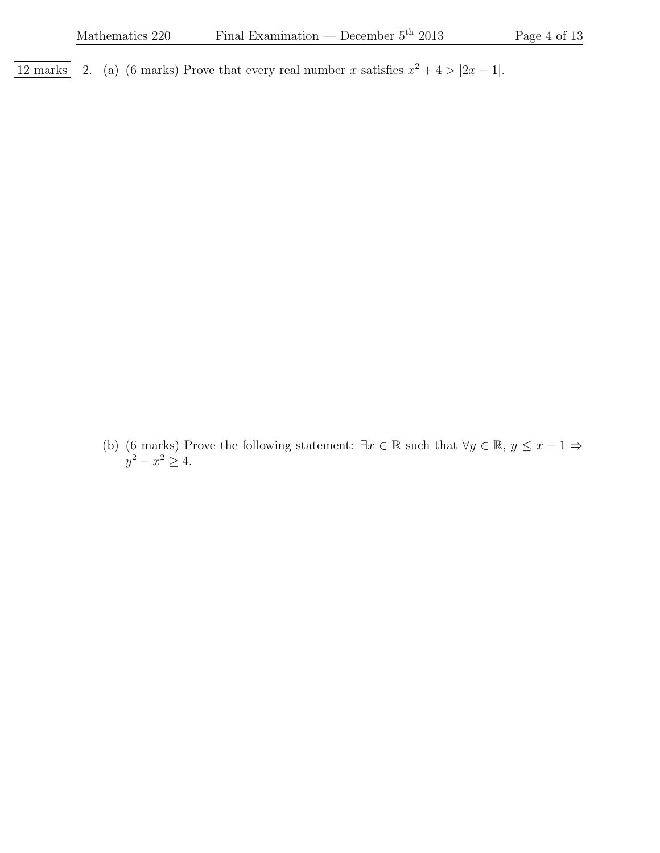12 marks 2. (a) (6 marks) Prove that every real number x satisfies  $x^2 + 4 > |2x - 1|$ .

(b) (6 marks) Prove the following statement:  $\exists x \in \mathbb{R}$  such that  $\forall y \in \mathbb{R}, y \leq x - 1 \Rightarrow$  $y^2 - x^2 \ge 4.$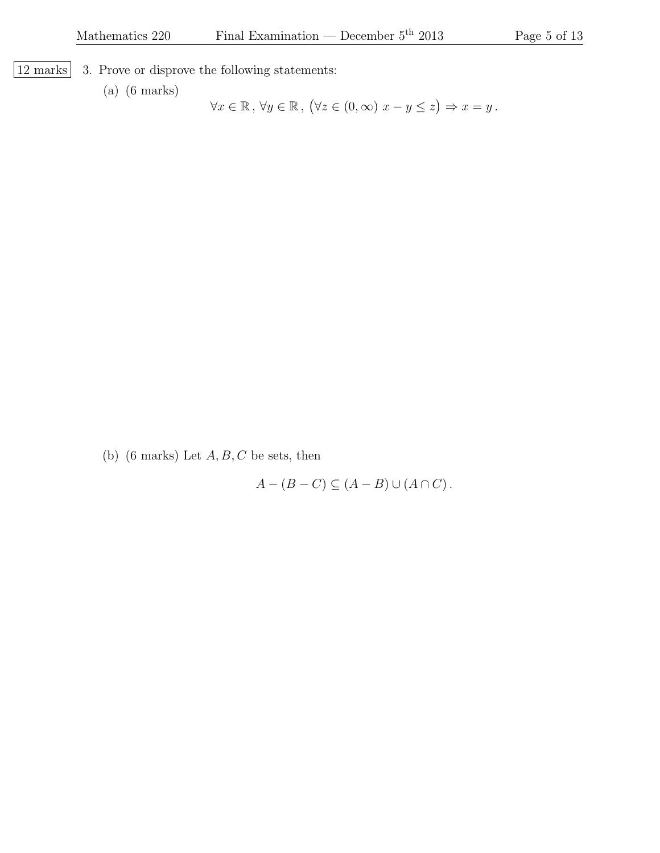$\vert$  12 marks  $\vert$  3. Prove or disprove the following statements:

(a) (6 marks)

 $\forall x \in \mathbb{R}, \forall y \in \mathbb{R}, (\forall z \in (0, \infty) \ x - y \leq z) \Rightarrow x = y$ .

(b) (6 marks) Let  $A, B, C$  be sets, then

 $A - (B - C) \subseteq (A - B) \cup (A \cap C)$ .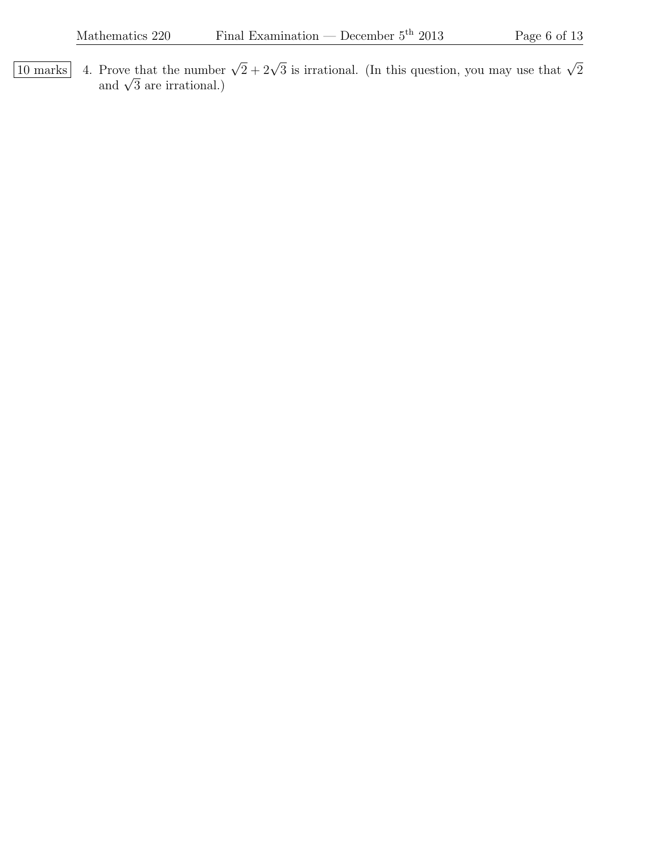10 marks 4. Prove that the number  $\sqrt{2} + 2\sqrt{3}$  is irrational. (In this question, you may use that  $\sqrt{2}$  and  $\sqrt{3}$  are irrational.)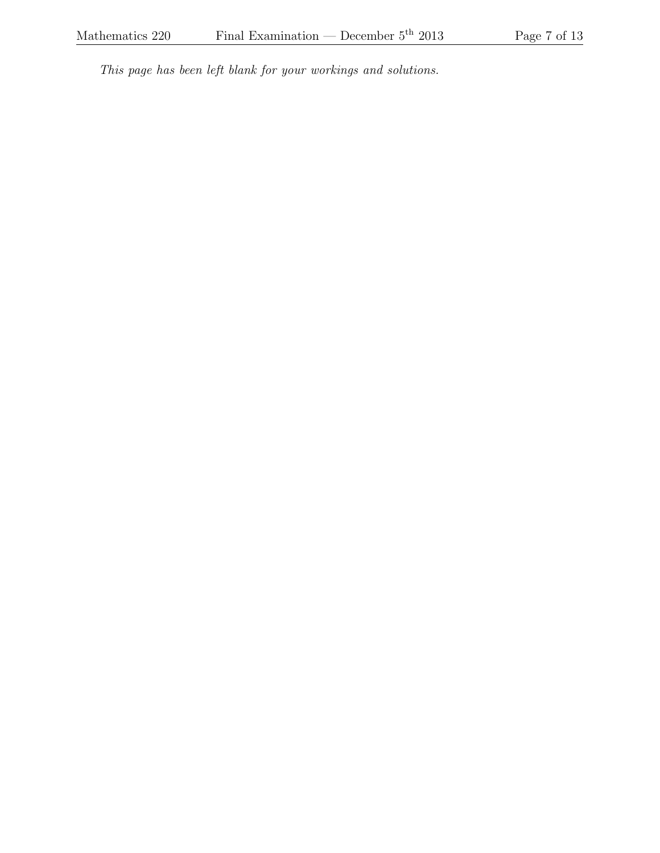This page has been left blank for your workings and solutions.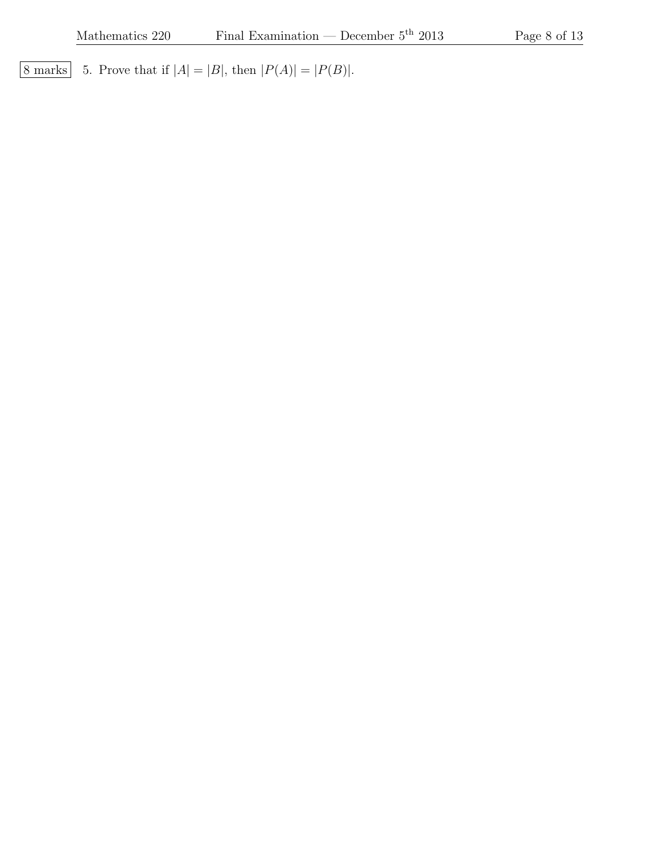8 marks 5. Prove that if  $|A| = |B|$ , then  $|P(A)| = |P(B)|$ .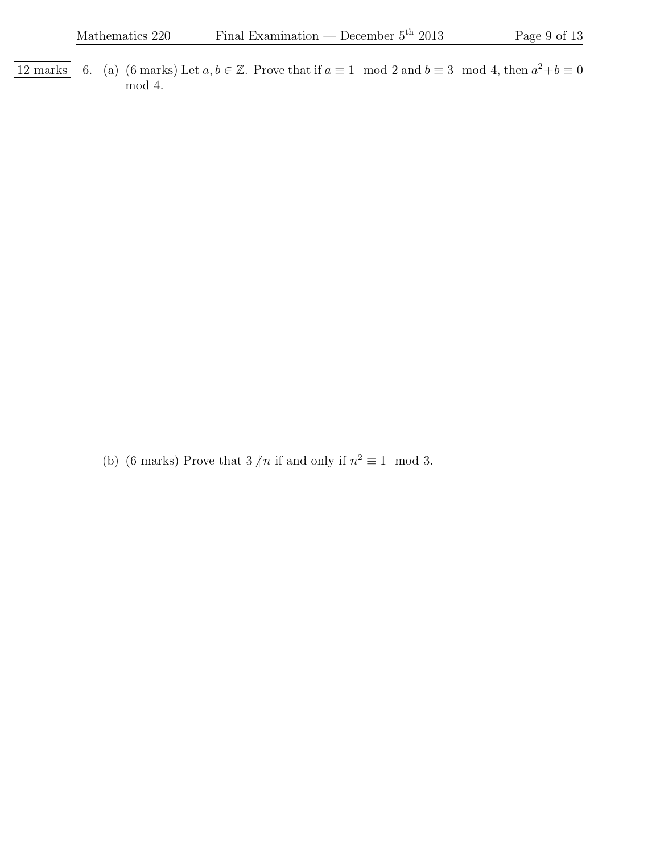12 marks 6. (a) (6 marks) Let  $a, b \in \mathbb{Z}$ . Prove that if  $a \equiv 1 \mod 2$  and  $b \equiv 3 \mod 4$ , then  $a^2 + b \equiv 0$ mod 4.

(b) (6 marks) Prove that  $3/n$  if and only if  $n^2 \equiv 1 \mod 3$ .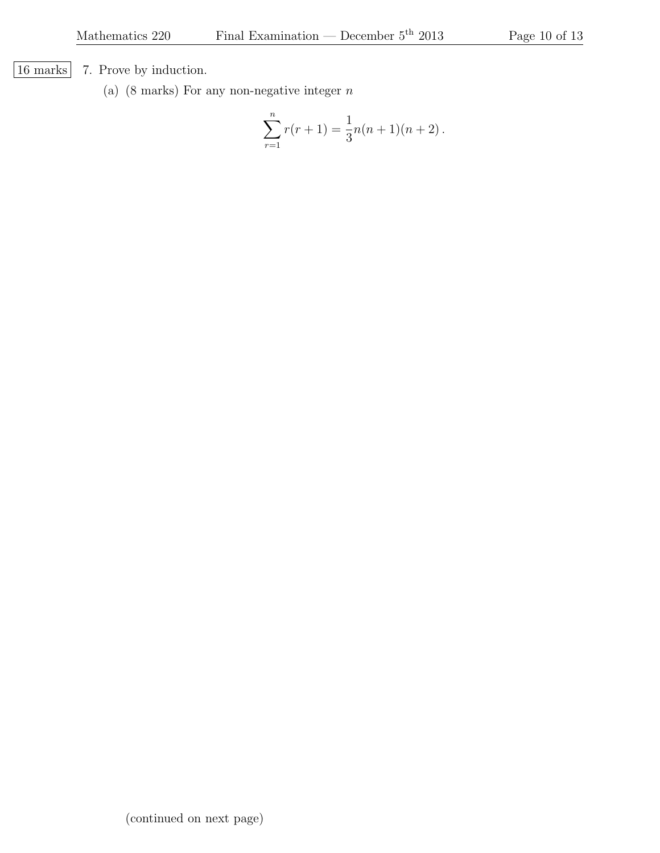[16 marks] 7. Prove by induction.

(a)  $(8 \text{ marks})$  For any non-negative integer  $n$ 

$$
\sum_{r=1}^{n} r(r+1) = \frac{1}{3}n(n+1)(n+2).
$$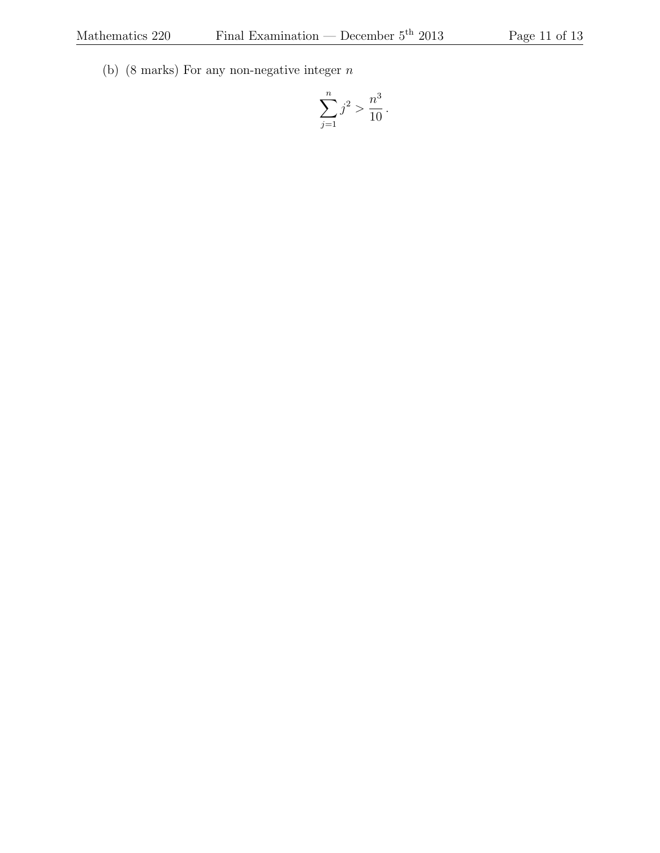(b) (8 marks) For any non-negative integer  $\boldsymbol{n}$ 

$$
\sum_{j=1}^{n} j^2 > \frac{n^3}{10}.
$$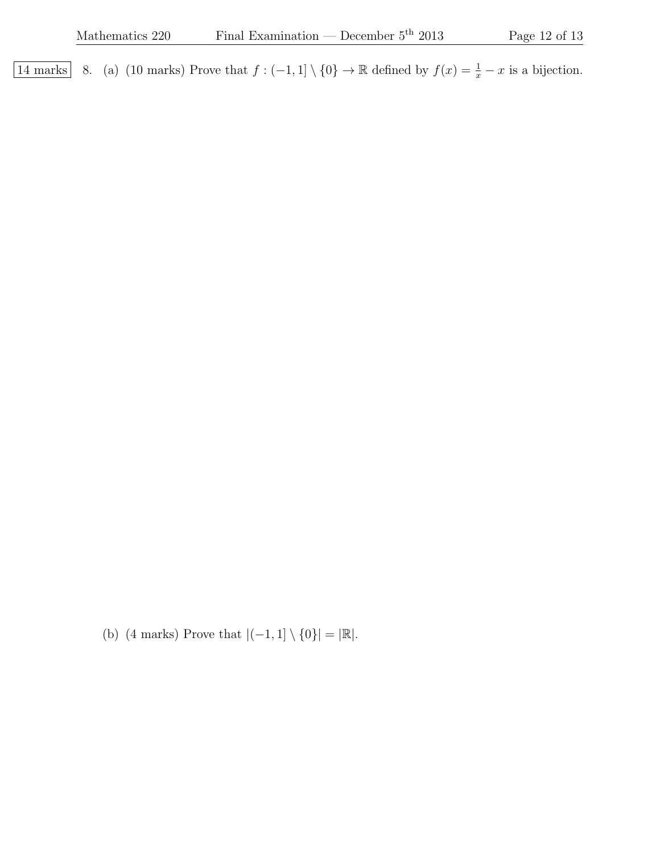14 marks 8. (a) (10 marks) Prove that  $f: (-1,1] \setminus \{0\} \to \mathbb{R}$  defined by  $f(x) = \frac{1}{x} - x$  is a bijection.

(b) (4 marks) Prove that  $|(-1, 1] \setminus \{0\}| = |\mathbb{R}|$ .